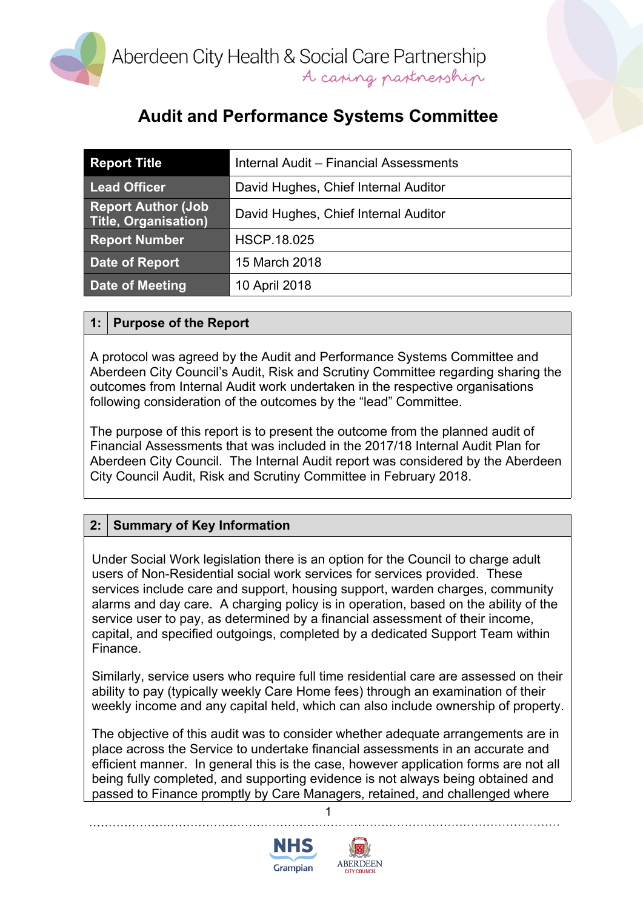

## **Audit and Performance Systems Committee**

| <b>Report Title</b>                               | Internal Audit - Financial Assessments |
|---------------------------------------------------|----------------------------------------|
| <b>Lead Officer</b>                               | David Hughes, Chief Internal Auditor   |
| <b>Report Author (Job</b><br>Title, Organisation) | David Hughes, Chief Internal Auditor   |
| <b>Report Number</b>                              | <b>HSCP.18.025</b>                     |
| Date of Report                                    | 15 March 2018                          |
| Date of Meeting                                   | 10 April 2018                          |

#### **1: Purpose of the Report**

A protocol was agreed by the Audit and Performance Systems Committee and Aberdeen City Council's Audit, Risk and Scrutiny Committee regarding sharing the outcomes from Internal Audit work undertaken in the respective organisations following consideration of the outcomes by the "lead" Committee.

The purpose of this report is to present the outcome from the planned audit of Financial Assessments that was included in the 2017/18 Internal Audit Plan for Aberdeen City Council. The Internal Audit report was considered by the Aberdeen City Council Audit, Risk and Scrutiny Committee in February 2018.

### **2: Summary of Key Information**

Under Social Work legislation there is an option for the Council to charge adult users of Non-Residential social work services for services provided. These services include care and support, housing support, warden charges, community alarms and day care. A charging policy is in operation, based on the ability of the service user to pay, as determined by a financial assessment of their income, capital, and specified outgoings, completed by a dedicated Support Team within Finance.

Similarly, service users who require full time residential care are assessed on their ability to pay (typically weekly Care Home fees) through an examination of their weekly income and any capital held, which can also include ownership of property.

The objective of this audit was to consider whether adequate arrangements are in place across the Service to undertake financial assessments in an accurate and efficient manner. In general this is the case, however application forms are not all being fully completed, and supporting evidence is not always being obtained and passed to Finance promptly by Care Managers, retained, and challenged where

1



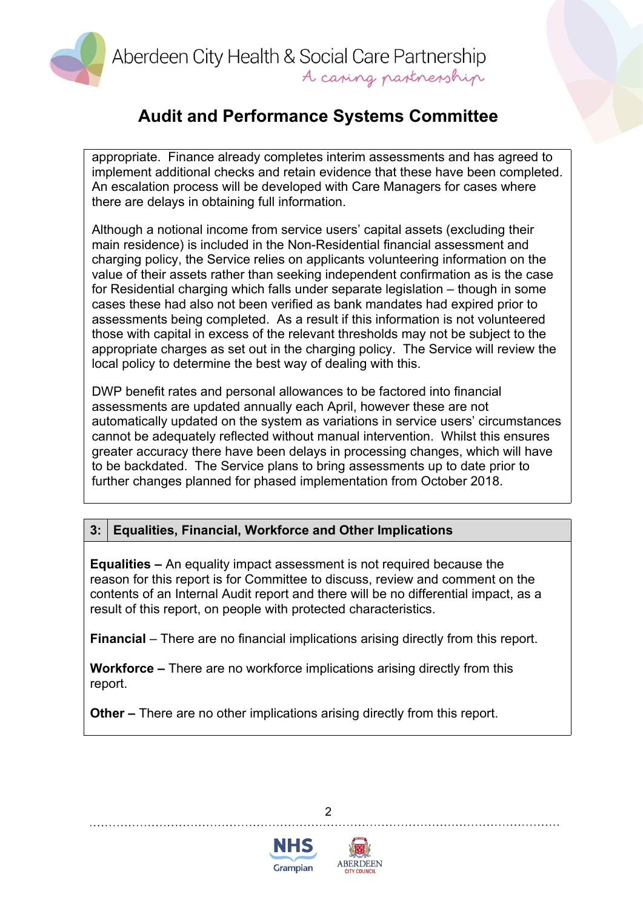Aberdeen City Health & Social Care Partnership A caring partnership

## **Audit and Performance Systems Committee**

appropriate. Finance already completes interim assessments and has agreed to implement additional checks and retain evidence that these have been completed. An escalation process will be developed with Care Managers for cases where there are delays in obtaining full information.

Although a notional income from service users' capital assets (excluding their main residence) is included in the Non-Residential financial assessment and charging policy, the Service relies on applicants volunteering information on the value of their assets rather than seeking independent confirmation as is the case for Residential charging which falls under separate legislation – though in some cases these had also not been verified as bank mandates had expired prior to assessments being completed. As a result if this information is not volunteered those with capital in excess of the relevant thresholds may not be subject to the appropriate charges as set out in the charging policy. The Service will review the local policy to determine the best way of dealing with this.

DWP benefit rates and personal allowances to be factored into financial assessments are updated annually each April, however these are not automatically updated on the system as variations in service users' circumstances cannot be adequately reflected without manual intervention. Whilst this ensures greater accuracy there have been delays in processing changes, which will have to be backdated. The Service plans to bring assessments up to date prior to further changes planned for phased implementation from October 2018.

### **3: Equalities, Financial, Workforce and Other Implications**

**Equalities –** An equality impact assessment is not required because the reason for this report is for Committee to discuss, review and comment on the contents of an Internal Audit report and there will be no differential impact, as a result of this report, on people with protected characteristics.

**Financial** – There are no financial implications arising directly from this report.

**Workforce –** There are no workforce implications arising directly from this report.

**Other –** There are no other implications arising directly from this report.





 $\mathfrak{p}$